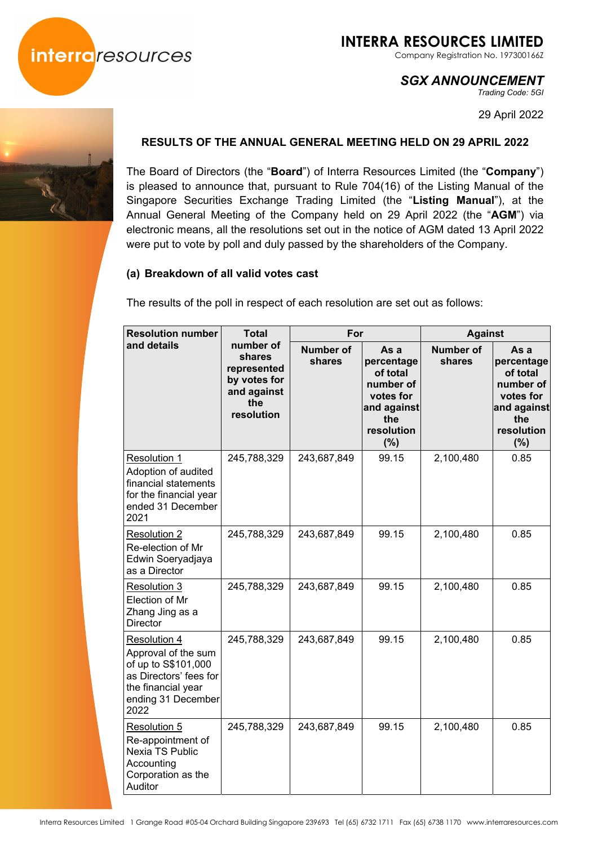

Company Registration No. 197300166Z

# *SGX ANNOUNCEMENT*

*Trading Code: 5GI* 

29 April 2022



# **RESULTS OF THE ANNUAL GENERAL MEETING HELD ON 29 APRIL 2022**

The Board of Directors (the "**Board**") of Interra Resources Limited (the "**Company**") is pleased to announce that, pursuant to Rule 704(16) of the Listing Manual of the Singapore Securities Exchange Trading Limited (the "**Listing Manual**"), at the Annual General Meeting of the Company held on 29 April 2022 (the "**AGM**") via electronic means, all the resolutions set out in the notice of AGM dated 13 April 2022 were put to vote by poll and duly passed by the shareholders of the Company.

## **(a) Breakdown of all valid votes cast**

The results of the poll in respect of each resolution are set out as follows:

| <b>Resolution number</b><br>and details                                                                                                         | <b>Total</b>                                                                           | For                        |                                                                                                     | <b>Against</b>             |                                                                                                        |
|-------------------------------------------------------------------------------------------------------------------------------------------------|----------------------------------------------------------------------------------------|----------------------------|-----------------------------------------------------------------------------------------------------|----------------------------|--------------------------------------------------------------------------------------------------------|
|                                                                                                                                                 | number of<br>shares<br>represented<br>by votes for<br>and against<br>the<br>resolution | <b>Number of</b><br>shares | As a<br>percentage<br>of total<br>number of<br>votes for<br>and against<br>the<br>resolution<br>(%) | <b>Number of</b><br>shares | As a<br>percentage<br>of total<br>number of<br>votes for<br>and against<br>the<br>resolution<br>$(\%)$ |
| <b>Resolution 1</b><br>Adoption of audited<br>financial statements<br>for the financial year<br>ended 31 December<br>2021                       | 245,788,329                                                                            | 243,687,849                | 99.15                                                                                               | 2,100,480                  | 0.85                                                                                                   |
| <b>Resolution 2</b><br>Re-election of Mr<br>Edwin Soeryadjaya<br>as a Director                                                                  | 245,788,329                                                                            | 243,687,849                | 99.15                                                                                               | 2,100,480                  | 0.85                                                                                                   |
| Resolution 3<br>Election of Mr<br>Zhang Jing as a<br>Director                                                                                   | 245,788,329                                                                            | 243,687,849                | 99.15                                                                                               | 2,100,480                  | 0.85                                                                                                   |
| <b>Resolution 4</b><br>Approval of the sum<br>of up to S\$101,000<br>as Directors' fees for<br>the financial year<br>ending 31 December<br>2022 | 245,788,329                                                                            | 243,687,849                | 99.15                                                                                               | 2,100,480                  | 0.85                                                                                                   |
| <b>Resolution 5</b><br>Re-appointment of<br>Nexia TS Public<br>Accounting<br>Corporation as the<br>Auditor                                      | 245,788,329                                                                            | 243,687,849                | 99.15                                                                                               | 2,100,480                  | 0.85                                                                                                   |